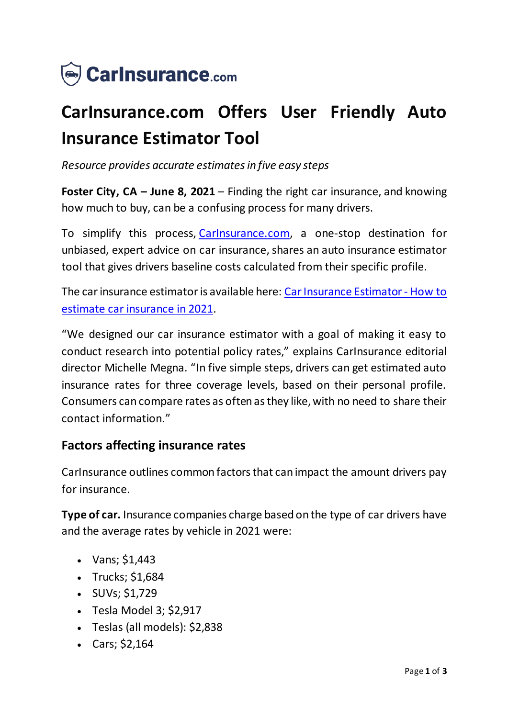

## **CarInsurance.com Offers User Friendly Auto Insurance Estimator Tool**

*Resource provides accurate estimates in five easy steps*

**Foster City, CA – June 8, 2021** – Finding the right car insurance, and knowing how much to buy, can be a confusing process for many drivers.

To simplify this process, [CarInsurance.com](https://www.carinsurance.com/), a one-stop destination for unbiased, expert advice on car insurance, shares an auto insurance estimator tool that gives drivers baseline costs calculated from their specific profile.

The car insurance estimator is available here: [Car Insurance Estimator -](https://www.carinsurance.com/car-insurance-estimator.aspx) How to [estimate car insurance in 2021](https://www.carinsurance.com/car-insurance-estimator.aspx).

"We designed our car insurance estimator with a goal of making it easy to conduct research into potential policy rates," explains CarInsurance editorial director Michelle Megna. "In five simple steps, drivers can get estimated auto insurance rates for three coverage levels, based on their personal profile. Consumers can compare rates as often as they like, with no need to share their contact information."

## **Factors affecting insurance rates**

CarInsurance outlines common factors that can impact the amount drivers pay for insurance.

**Type of car.** Insurance companies charge based on the type of car drivers have and the average rates by vehicle in 2021 were:

- Vans;  $$1,443$
- $\cdot$  Trucks; \$1,684
- $\cdot$  SUVs; \$1,729
- $\bullet$  Tesla Model 3; \$2,917
- Teslas (all models): \$2,838
- Cars;  $$2,164$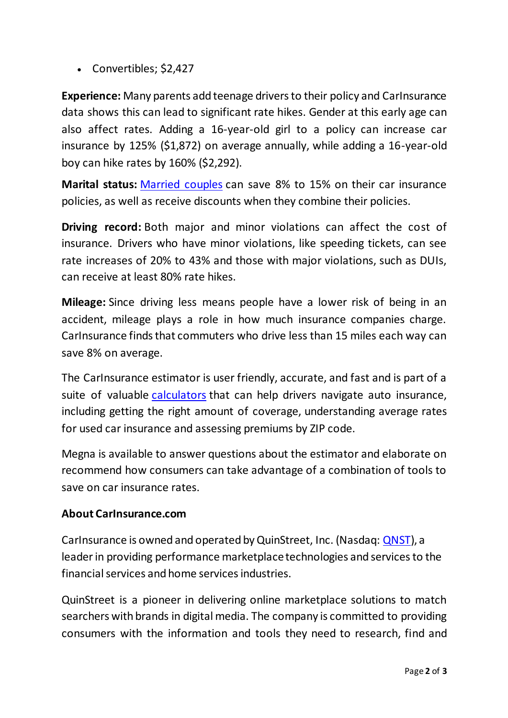Convertibles; \$2,427

**Experience:** Many parents add teenage drivers to their policy and CarInsurance data shows this can lead to significant rate hikes. Gender at this early age can also affect rates. Adding a 16-year-old girl to a policy can increase car insurance by 125% (\$1,872) on average annually, while adding a 16-year-old boy can hike rates by 160% (\$2,292).

**Marital status:** [Married couples](https://www.carinsurance.com/married-vs-single-discount.aspx) can save 8% to 15% on their car insurance policies, as well as receive discounts when they combine their policies.

**Driving record:** Both major and minor violations can affect the cost of insurance. Drivers who have minor violations, like speeding tickets, can see rate increases of 20% to 43% and those with major violations, such as DUIs, can receive at least 80% rate hikes.

**Mileage:** Since driving less means people have a lower risk of being in an accident, mileage plays a role in how much insurance companies charge. CarInsurance finds that commuters who drive less than 15 miles each way can save 8% on average.

The CarInsurance estimator is user friendly, accurate, and fast and is part of a suite of valuable [calculators](https://www.carinsurance.com/calculators/) that can help drivers navigate auto insurance, including getting the right amount of coverage, understanding average rates for used car insurance and assessing premiums by ZIP code.

Megna is available to answer questions about the estimator and elaborate on recommend how consumers can take advantage of a combination of tools to save on car insurance rates.

## **About CarInsurance.com**

CarInsurance is owned and operated by QuinStreet, Inc. (Nasdaq: [QNST](https://www.nasdaq.com/market-activity/stocks/qnst)), a leader in providing performance marketplace technologies and services to the financial services and home services industries.

QuinStreet is a pioneer in delivering online marketplace solutions to match searchers with brands in digital media. The company is committed to providing consumers with the information and tools they need to research, find and